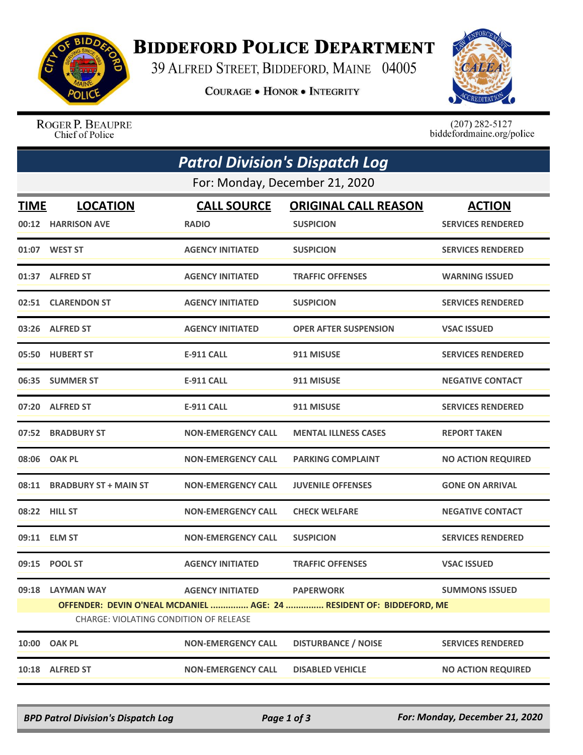

## **BIDDEFORD POLICE DEPARTMENT**

39 ALFRED STREET, BIDDEFORD, MAINE 04005

**COURAGE . HONOR . INTEGRITY** 



ROGER P. BEAUPRE Chief of Police

 $(207)$  282-5127<br>biddefordmaine.org/police

| <b>Patrol Division's Dispatch Log</b>                                                                                 |                             |                           |                              |                           |  |  |  |
|-----------------------------------------------------------------------------------------------------------------------|-----------------------------|---------------------------|------------------------------|---------------------------|--|--|--|
| For: Monday, December 21, 2020                                                                                        |                             |                           |                              |                           |  |  |  |
| <b>TIME</b>                                                                                                           | <b>LOCATION</b>             | <b>CALL SOURCE</b>        | <b>ORIGINAL CALL REASON</b>  | <b>ACTION</b>             |  |  |  |
|                                                                                                                       | 00:12 HARRISON AVE          | <b>RADIO</b>              | <b>SUSPICION</b>             | <b>SERVICES RENDERED</b>  |  |  |  |
|                                                                                                                       | 01:07 WEST ST               | <b>AGENCY INITIATED</b>   | <b>SUSPICION</b>             | <b>SERVICES RENDERED</b>  |  |  |  |
|                                                                                                                       | 01:37 ALFRED ST             | <b>AGENCY INITIATED</b>   | <b>TRAFFIC OFFENSES</b>      | <b>WARNING ISSUED</b>     |  |  |  |
|                                                                                                                       | 02:51 CLARENDON ST          | <b>AGENCY INITIATED</b>   | <b>SUSPICION</b>             | <b>SERVICES RENDERED</b>  |  |  |  |
|                                                                                                                       | 03:26 ALFRED ST             | <b>AGENCY INITIATED</b>   | <b>OPER AFTER SUSPENSION</b> | <b>VSAC ISSUED</b>        |  |  |  |
|                                                                                                                       | 05:50 HUBERT ST             | <b>E-911 CALL</b>         | 911 MISUSE                   | <b>SERVICES RENDERED</b>  |  |  |  |
|                                                                                                                       | 06:35 SUMMER ST             | E-911 CALL                | 911 MISUSE                   | <b>NEGATIVE CONTACT</b>   |  |  |  |
|                                                                                                                       | 07:20 ALFRED ST             | <b>E-911 CALL</b>         | 911 MISUSE                   | <b>SERVICES RENDERED</b>  |  |  |  |
|                                                                                                                       | 07:52 BRADBURY ST           | <b>NON-EMERGENCY CALL</b> | <b>MENTAL ILLNESS CASES</b>  | <b>REPORT TAKEN</b>       |  |  |  |
|                                                                                                                       | 08:06 OAK PL                | <b>NON-EMERGENCY CALL</b> | <b>PARKING COMPLAINT</b>     | <b>NO ACTION REQUIRED</b> |  |  |  |
|                                                                                                                       | 08:11 BRADBURY ST + MAIN ST | <b>NON-EMERGENCY CALL</b> | <b>JUVENILE OFFENSES</b>     | <b>GONE ON ARRIVAL</b>    |  |  |  |
|                                                                                                                       | 08:22 HILL ST               | <b>NON-EMERGENCY CALL</b> | <b>CHECK WELFARE</b>         | <b>NEGATIVE CONTACT</b>   |  |  |  |
|                                                                                                                       | 09:11 ELM ST                | <b>NON-EMERGENCY CALL</b> | <b>SUSPICION</b>             | <b>SERVICES RENDERED</b>  |  |  |  |
|                                                                                                                       | 09:15 POOL ST               | <b>AGENCY INITIATED</b>   | <b>TRAFFIC OFFENSES</b>      | <b>VSAC ISSUED</b>        |  |  |  |
|                                                                                                                       | 09:18 LAYMAN WAY            | <b>AGENCY INITIATED</b>   | <b>PAPERWORK</b>             | <b>SUMMONS ISSUED</b>     |  |  |  |
| OFFENDER: DEVIN O'NEAL MCDANIEL  AGE: 24  RESIDENT OF: BIDDEFORD, ME<br><b>CHARGE: VIOLATING CONDITION OF RELEASE</b> |                             |                           |                              |                           |  |  |  |
| 10:00                                                                                                                 | <b>OAK PL</b>               | <b>NON-EMERGENCY CALL</b> | <b>DISTURBANCE / NOISE</b>   | <b>SERVICES RENDERED</b>  |  |  |  |
|                                                                                                                       | 10:18 ALFRED ST             | <b>NON-EMERGENCY CALL</b> | <b>DISABLED VEHICLE</b>      | <b>NO ACTION REQUIRED</b> |  |  |  |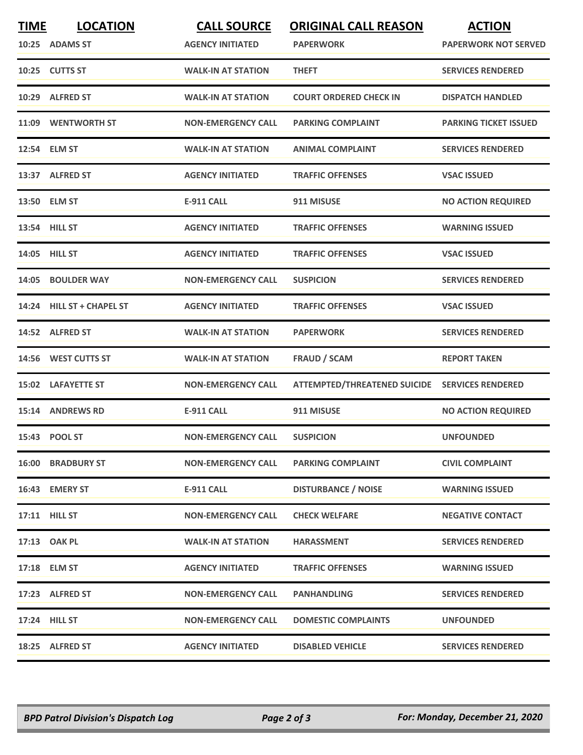| <b>TIME</b> | <b>LOCATION</b>           | <b>CALL SOURCE</b>        | <b>ORIGINAL CALL REASON</b>                    | <b>ACTION</b>                |
|-------------|---------------------------|---------------------------|------------------------------------------------|------------------------------|
|             | 10:25 ADAMS ST            | <b>AGENCY INITIATED</b>   | <b>PAPERWORK</b>                               | <b>PAPERWORK NOT SERVED</b>  |
|             | 10:25 CUTTS ST            | <b>WALK-IN AT STATION</b> | <b>THEFT</b>                                   | <b>SERVICES RENDERED</b>     |
| 10:29       | <b>ALFRED ST</b>          | <b>WALK-IN AT STATION</b> | <b>COURT ORDERED CHECK IN</b>                  | <b>DISPATCH HANDLED</b>      |
|             | 11:09 WENTWORTH ST        | <b>NON-EMERGENCY CALL</b> | <b>PARKING COMPLAINT</b>                       | <b>PARKING TICKET ISSUED</b> |
|             | 12:54 ELM ST              | <b>WALK-IN AT STATION</b> | <b>ANIMAL COMPLAINT</b>                        | <b>SERVICES RENDERED</b>     |
|             | 13:37 ALFRED ST           | <b>AGENCY INITIATED</b>   | <b>TRAFFIC OFFENSES</b>                        | <b>VSAC ISSUED</b>           |
|             | 13:50 ELM ST              | <b>E-911 CALL</b>         | 911 MISUSE                                     | <b>NO ACTION REQUIRED</b>    |
|             | 13:54 HILL ST             | <b>AGENCY INITIATED</b>   | <b>TRAFFIC OFFENSES</b>                        | <b>WARNING ISSUED</b>        |
|             | 14:05 HILL ST             | <b>AGENCY INITIATED</b>   | <b>TRAFFIC OFFENSES</b>                        | <b>VSAC ISSUED</b>           |
| 14:05       | <b>BOULDER WAY</b>        | <b>NON-EMERGENCY CALL</b> | <b>SUSPICION</b>                               | <b>SERVICES RENDERED</b>     |
|             | 14:24 HILL ST + CHAPEL ST | <b>AGENCY INITIATED</b>   | <b>TRAFFIC OFFENSES</b>                        | <b>VSAC ISSUED</b>           |
| 14:52       | <b>ALFRED ST</b>          | <b>WALK-IN AT STATION</b> | <b>PAPERWORK</b>                               | <b>SERVICES RENDERED</b>     |
|             | 14:56 WEST CUTTS ST       | <b>WALK-IN AT STATION</b> | <b>FRAUD / SCAM</b>                            | <b>REPORT TAKEN</b>          |
|             | 15:02 LAFAYETTE ST        | <b>NON-EMERGENCY CALL</b> | ATTEMPTED/THREATENED SUICIDE SERVICES RENDERED |                              |
|             | 15:14 ANDREWS RD          | <b>E-911 CALL</b>         | 911 MISUSE                                     | <b>NO ACTION REQUIRED</b>    |
|             | 15:43 POOL ST             | <b>NON-EMERGENCY CALL</b> | <b>SUSPICION</b>                               | <b>UNFOUNDED</b>             |
|             | <b>16:00 BRADBURY ST</b>  | <b>NON-EMERGENCY CALL</b> | <b>PARKING COMPLAINT</b>                       | <b>CIVIL COMPLAINT</b>       |
|             | 16:43 EMERY ST            | E-911 CALL                | <b>DISTURBANCE / NOISE</b>                     | <b>WARNING ISSUED</b>        |
|             | <b>17:11 HILL ST</b>      | <b>NON-EMERGENCY CALL</b> | <b>CHECK WELFARE</b>                           | <b>NEGATIVE CONTACT</b>      |
|             | 17:13 OAK PL              | <b>WALK-IN AT STATION</b> | <b>HARASSMENT</b>                              | <b>SERVICES RENDERED</b>     |
|             | 17:18 ELM ST              | <b>AGENCY INITIATED</b>   | <b>TRAFFIC OFFENSES</b>                        | <b>WARNING ISSUED</b>        |
|             | 17:23 ALFRED ST           | <b>NON-EMERGENCY CALL</b> | <b>PANHANDLING</b>                             | <b>SERVICES RENDERED</b>     |
|             | 17:24 HILL ST             | <b>NON-EMERGENCY CALL</b> | <b>DOMESTIC COMPLAINTS</b>                     | <b>UNFOUNDED</b>             |
|             | 18:25 ALFRED ST           | <b>AGENCY INITIATED</b>   | <b>DISABLED VEHICLE</b>                        | <b>SERVICES RENDERED</b>     |